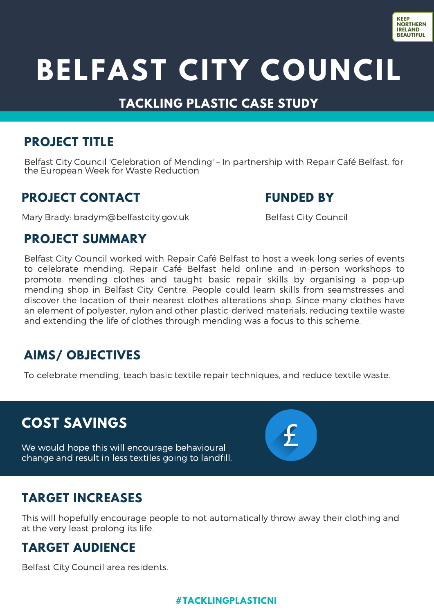

# **BELFAST CITY COUNCIL**

## **TACKLING PLASTIC CASE STUDY**

### **PROJECT TITLE**

Belfast City Council 'Celebration of Mending' – In partnership with Repair Café Belfast, for the European Week for Waste Reduction

### **PROJECT CONTACT**

Mary Brady[:](mailto:waste.education@lisburncastlereagh.gov.uk) bradym@belfastcity.gov.uk

#### **FUNDED BY**

Belfast City Council

#### **PROJECT SUMMARY**

Belfast City Council worked with Repair Café Belfast to host a week-long series of events to celebrate mending. Repair Café Belfast held online and in-person workshops to promote mending clothes and taught basic repair skills by organising a pop-up mending shop in Belfast City Centre. People could learn skills from seamstresses and discover the location of their nearest clothes alterations shop. Since many clothes have an element of polyester, nylon and other plastic-derived materials, reducing textile waste and extending the life of clothes through mending was a focus to this scheme.

# **AIMS/ OBJECTIVES**

To celebrate mending, teach basic textile repair techniques, and reduce textile waste.

# **COST SAVINGS**

We would hope this will encourage behavioural change and result in less textiles going to landfill.



# **TARGET INCREASES**

This will hopefully encourage people to not automatically throw away their clothing and at the very least prolong its life.

# **TARGET AUDIENCE**

Belfast City Council area residents.

#### **#TACKLINGPLASTICNI**